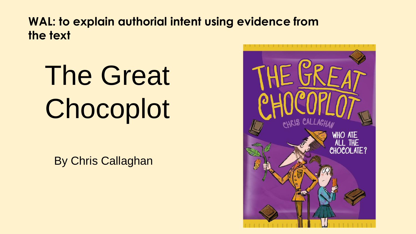**WAL: to explain authorial intent using evidence from the text**

# The Great **Chocoplot**

By Chris Callaghan

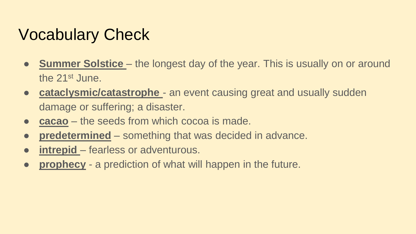# Vocabulary Check

- **Summer Solstice** the longest day of the year. This is usually on or around the 21st June.
- **cataclysmic/catastrophe** an event causing great and usually sudden damage or suffering; a disaster.
- **cacao** the seeds from which cocoa is made.
- **predetermined** something that was decided in advance.
- **• intrepid** fearless or adventurous.
- **prophecy** a prediction of what will happen in the future.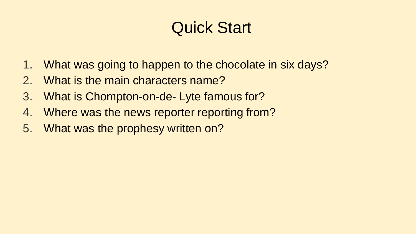# Quick Start

- 1. What was going to happen to the chocolate in six days?
- 2. What is the main characters name?
- 3. What is Chompton-on-de- Lyte famous for?
- 4. Where was the news reporter reporting from?
- 5. What was the prophesy written on?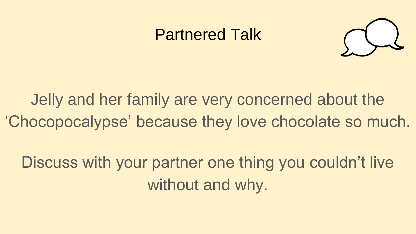#### Partnered Talk



Jelly and her family are very concerned about the 'Chocopocalypse' because they love chocolate so much.

Discuss with your partner one thing you couldn't live without and why.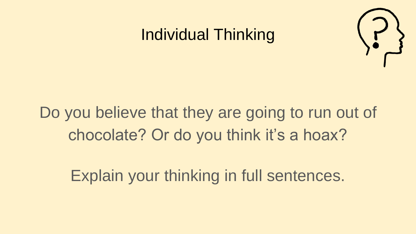#### Individual Thinking



# Do you believe that they are going to run out of chocolate? Or do you think it's a hoax?

Explain your thinking in full sentences.